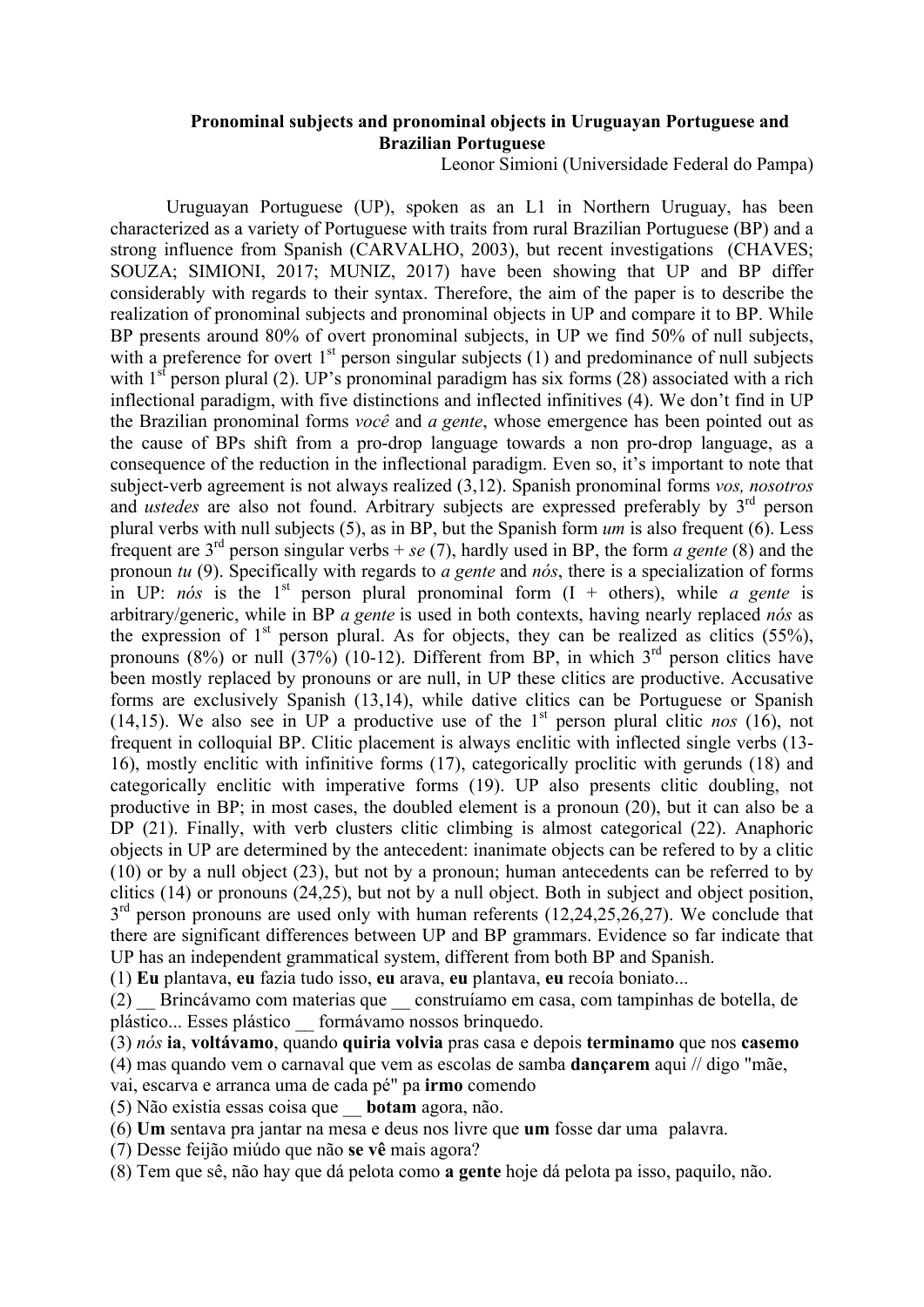## **Pronominal subjects and pronominal objects in Uruguayan Portuguese and Brazilian Portuguese**

Leonor Simioni (Universidade Federal do Pampa)

Uruguayan Portuguese (UP), spoken as an L1 in Northern Uruguay, has been characterized as a variety of Portuguese with traits from rural Brazilian Portuguese (BP) and a strong influence from Spanish (CARVALHO, 2003), but recent investigations (CHAVES; SOUZA; SIMIONI, 2017; MUNIZ, 2017) have been showing that UP and BP differ considerably with regards to their syntax. Therefore, the aim of the paper is to describe the realization of pronominal subjects and pronominal objects in UP and compare it to BP. While BP presents around 80% of overt pronominal subjects, in UP we find 50% of null subjects, with a preference for overt  $1<sup>st</sup>$  person singular subjects (1) and predominance of null subjects with  $1<sup>st</sup>$  person plural (2). UP's pronominal paradigm has six forms (28) associated with a rich inflectional paradigm, with five distinctions and inflected infinitives (4). We don't find in UP the Brazilian pronominal forms *você* and *a gente*, whose emergence has been pointed out as the cause of BPs shift from a pro-drop language towards a non pro-drop language, as a consequence of the reduction in the inflectional paradigm. Even so, it's important to note that subject-verb agreement is not always realized (3,12). Spanish pronominal forms *vos, nosotros* and *ustedes* are also not found. Arbitrary subjects are expressed preferably by 3<sup>rd</sup> person plural verbs with null subjects (5), as in BP, but the Spanish form *um* is also frequent (6). Less frequent are 3rd person singular verbs + *se* (7), hardly used in BP, the form *a gente* (8) and the pronoun *tu* (9). Specifically with regards to *a gente* and *nós*, there is a specialization of forms in UP:  $n\acute{o}s$  is the 1<sup>st</sup> person plural pronominal form  $(I + \text{others})$ , while *a gente* is arbitrary/generic, while in BP *a gente* is used in both contexts, having nearly replaced *nós* as the expression of  $1<sup>st</sup>$  person plural. As for objects, they can be realized as clitics (55%), pronouns (8%) or null (37%) (10-12). Different from BP, in which  $3<sup>rd</sup>$  person clitics have been mostly replaced by pronouns or are null, in UP these clitics are productive. Accusative forms are exclusively Spanish (13,14), while dative clitics can be Portuguese or Spanish (14,15). We also see in UP a productive use of the  $1<sup>st</sup>$  person plural clitic *nos* (16), not frequent in colloquial BP. Clitic placement is always enclitic with inflected single verbs (13- 16), mostly enclitic with infinitive forms (17), categorically proclitic with gerunds (18) and categorically enclitic with imperative forms (19). UP also presents clitic doubling, not productive in BP; in most cases, the doubled element is a pronoun (20), but it can also be a DP (21). Finally, with verb clusters clitic climbing is almost categorical (22). Anaphoric objects in UP are determined by the antecedent: inanimate objects can be refered to by a clitic (10) or by a null object (23), but not by a pronoun; human antecedents can be referred to by clitics (14) or pronouns (24,25), but not by a null object. Both in subject and object position,  $3<sup>rd</sup>$  person pronouns are used only with human referents (12,24,25,26,27). We conclude that there are significant differences between UP and BP grammars. Evidence so far indicate that UP has an independent grammatical system, different from both BP and Spanish.

(1) **Eu** plantava, **eu** fazia tudo isso, **eu** arava, **eu** plantava, **eu** recoía boniato...

(2) \_\_ Brincávamo com materias que \_\_ construíamo em casa, com tampinhas de botella, de plástico... Esses plástico \_\_ formávamo nossos brinquedo.

(3) *nós* **ia**, **voltávamo**, quando **quiria volvia** pras casa e depois **terminamo** que nos **casemo**

(4) mas quando vem o carnaval que vem as escolas de samba **dançarem** aqui // digo "mãe,

vai, escarva e arranca uma de cada pé" pa **irmo** comendo

(5) Não existia essas coisa que \_\_ **botam** agora, não.

(6) **Um** sentava pra jantar na mesa e deus nos livre que **um** fosse dar uma palavra.

(7) Desse feijão miúdo que não **se vê** mais agora?

(8) Tem que sê, não hay que dá pelota como **a gente** hoje dá pelota pa isso, paquilo, não.